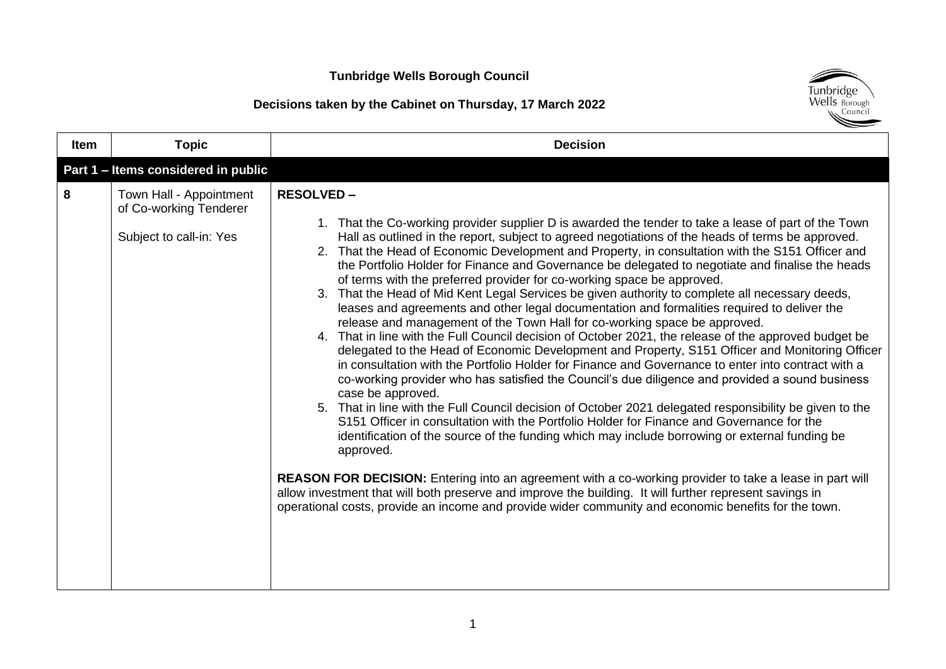## **Decisions taken by the Cabinet on Thursday, 17 March 2022**



| <b>Item</b> | <b>Topic</b>                                                                 | <b>Decision</b>                                                                                                                                                                                                                                                                                                                                                                                                                                                                                                                                                                                                                                                                                                                                                                                                                                                                                                                                                                                                                                                                                                                                                                                                                                                                                                                                                                                                                                                                                                                                                                                                                                                                                                                                                                                                                                                                                       |
|-------------|------------------------------------------------------------------------------|-------------------------------------------------------------------------------------------------------------------------------------------------------------------------------------------------------------------------------------------------------------------------------------------------------------------------------------------------------------------------------------------------------------------------------------------------------------------------------------------------------------------------------------------------------------------------------------------------------------------------------------------------------------------------------------------------------------------------------------------------------------------------------------------------------------------------------------------------------------------------------------------------------------------------------------------------------------------------------------------------------------------------------------------------------------------------------------------------------------------------------------------------------------------------------------------------------------------------------------------------------------------------------------------------------------------------------------------------------------------------------------------------------------------------------------------------------------------------------------------------------------------------------------------------------------------------------------------------------------------------------------------------------------------------------------------------------------------------------------------------------------------------------------------------------------------------------------------------------------------------------------------------------|
|             | Part 1 - Items considered in public                                          |                                                                                                                                                                                                                                                                                                                                                                                                                                                                                                                                                                                                                                                                                                                                                                                                                                                                                                                                                                                                                                                                                                                                                                                                                                                                                                                                                                                                                                                                                                                                                                                                                                                                                                                                                                                                                                                                                                       |
| 8           | Town Hall - Appointment<br>of Co-working Tenderer<br>Subject to call-in: Yes | <b>RESOLVED -</b><br>1. That the Co-working provider supplier D is awarded the tender to take a lease of part of the Town<br>Hall as outlined in the report, subject to agreed negotiations of the heads of terms be approved.<br>2. That the Head of Economic Development and Property, in consultation with the S151 Officer and<br>the Portfolio Holder for Finance and Governance be delegated to negotiate and finalise the heads<br>of terms with the preferred provider for co-working space be approved.<br>3. That the Head of Mid Kent Legal Services be given authority to complete all necessary deeds,<br>leases and agreements and other legal documentation and formalities required to deliver the<br>release and management of the Town Hall for co-working space be approved.<br>4. That in line with the Full Council decision of October 2021, the release of the approved budget be<br>delegated to the Head of Economic Development and Property, S151 Officer and Monitoring Officer<br>in consultation with the Portfolio Holder for Finance and Governance to enter into contract with a<br>co-working provider who has satisfied the Council's due diligence and provided a sound business<br>case be approved.<br>5. That in line with the Full Council decision of October 2021 delegated responsibility be given to the<br>S151 Officer in consultation with the Portfolio Holder for Finance and Governance for the<br>identification of the source of the funding which may include borrowing or external funding be<br>approved.<br><b>REASON FOR DECISION:</b> Entering into an agreement with a co-working provider to take a lease in part will<br>allow investment that will both preserve and improve the building. It will further represent savings in<br>operational costs, provide an income and provide wider community and economic benefits for the town. |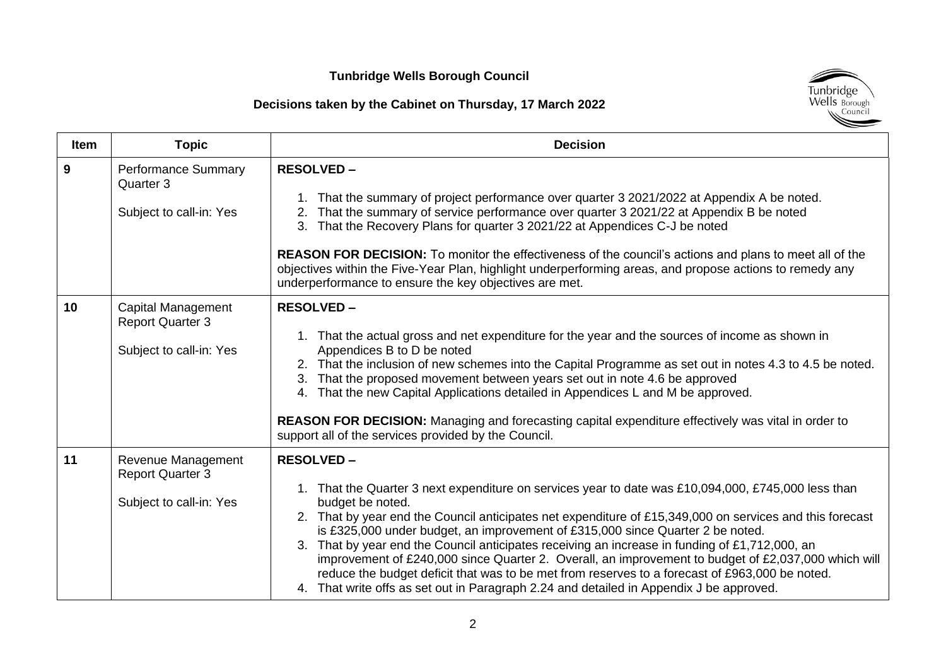## **Decisions taken by the Cabinet on Thursday, 17 March 2022**



| <b>Item</b> | <b>Topic</b>                                                             | <b>Decision</b>                                                                                                                                                                                                                                                                                                                                                                                                                                                                                                                                                                                                                                                                                                                                 |
|-------------|--------------------------------------------------------------------------|-------------------------------------------------------------------------------------------------------------------------------------------------------------------------------------------------------------------------------------------------------------------------------------------------------------------------------------------------------------------------------------------------------------------------------------------------------------------------------------------------------------------------------------------------------------------------------------------------------------------------------------------------------------------------------------------------------------------------------------------------|
| 9           | <b>Performance Summary</b><br>Quarter 3<br>Subject to call-in: Yes       | <b>RESOLVED -</b><br>1. That the summary of project performance over quarter 3 2021/2022 at Appendix A be noted.<br>2. That the summary of service performance over quarter 3 2021/22 at Appendix B be noted<br>3. That the Recovery Plans for quarter 3 2021/22 at Appendices C-J be noted<br>REASON FOR DECISION: To monitor the effectiveness of the council's actions and plans to meet all of the<br>objectives within the Five-Year Plan, highlight underperforming areas, and propose actions to remedy any<br>underperformance to ensure the key objectives are met.                                                                                                                                                                    |
| 10          | Capital Management<br><b>Report Quarter 3</b><br>Subject to call-in: Yes | <b>RESOLVED-</b><br>1. That the actual gross and net expenditure for the year and the sources of income as shown in<br>Appendices B to D be noted<br>2. That the inclusion of new schemes into the Capital Programme as set out in notes 4.3 to 4.5 be noted.<br>3. That the proposed movement between years set out in note 4.6 be approved<br>4. That the new Capital Applications detailed in Appendices L and M be approved.<br>REASON FOR DECISION: Managing and forecasting capital expenditure effectively was vital in order to<br>support all of the services provided by the Council.                                                                                                                                                 |
| 11          | Revenue Management<br><b>Report Quarter 3</b><br>Subject to call-in: Yes | <b>RESOLVED-</b><br>1. That the Quarter 3 next expenditure on services year to date was £10,094,000, £745,000 less than<br>budget be noted.<br>2. That by year end the Council anticipates net expenditure of £15,349,000 on services and this forecast<br>is £325,000 under budget, an improvement of £315,000 since Quarter 2 be noted.<br>3. That by year end the Council anticipates receiving an increase in funding of £1,712,000, an<br>improvement of £240,000 since Quarter 2. Overall, an improvement to budget of £2,037,000 which will<br>reduce the budget deficit that was to be met from reserves to a forecast of £963,000 be noted.<br>4. That write offs as set out in Paragraph 2.24 and detailed in Appendix J be approved. |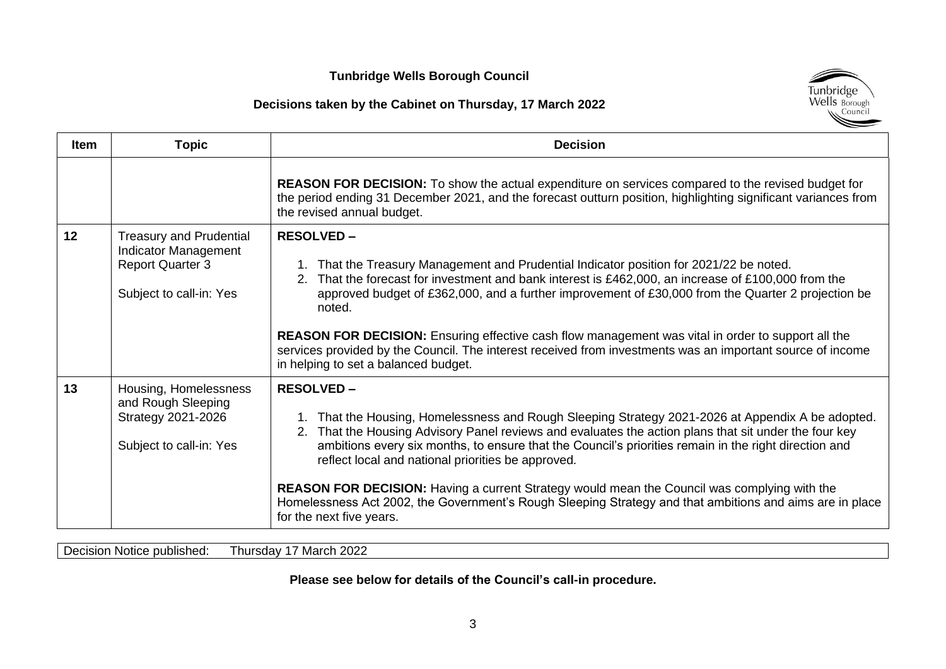### **Decisions taken by the Cabinet on Thursday, 17 March 2022**



| <b>Item</b> | <b>Topic</b>                                                                                                        | <b>Decision</b>                                                                                                                                                                                                                                                                                                                                                                                                                                                                                                                                                                                                                              |
|-------------|---------------------------------------------------------------------------------------------------------------------|----------------------------------------------------------------------------------------------------------------------------------------------------------------------------------------------------------------------------------------------------------------------------------------------------------------------------------------------------------------------------------------------------------------------------------------------------------------------------------------------------------------------------------------------------------------------------------------------------------------------------------------------|
|             |                                                                                                                     | <b>REASON FOR DECISION:</b> To show the actual expenditure on services compared to the revised budget for<br>the period ending 31 December 2021, and the forecast outturn position, highlighting significant variances from<br>the revised annual budget.                                                                                                                                                                                                                                                                                                                                                                                    |
| 12          | <b>Treasury and Prudential</b><br><b>Indicator Management</b><br><b>Report Quarter 3</b><br>Subject to call-in: Yes | <b>RESOLVED -</b><br>1. That the Treasury Management and Prudential Indicator position for 2021/22 be noted.<br>That the forecast for investment and bank interest is £462,000, an increase of £100,000 from the<br>2.<br>approved budget of £362,000, and a further improvement of £30,000 from the Quarter 2 projection be<br>noted.<br><b>REASON FOR DECISION:</b> Ensuring effective cash flow management was vital in order to support all the<br>services provided by the Council. The interest received from investments was an important source of income<br>in helping to set a balanced budget.                                    |
| 13          | Housing, Homelessness<br>and Rough Sleeping<br>Strategy 2021-2026<br>Subject to call-in: Yes                        | <b>RESOLVED-</b><br>That the Housing, Homelessness and Rough Sleeping Strategy 2021-2026 at Appendix A be adopted.<br>That the Housing Advisory Panel reviews and evaluates the action plans that sit under the four key<br>2.<br>ambitions every six months, to ensure that the Council's priorities remain in the right direction and<br>reflect local and national priorities be approved.<br><b>REASON FOR DECISION:</b> Having a current Strategy would mean the Council was complying with the<br>Homelessness Act 2002, the Government's Rough Sleeping Strategy and that ambitions and aims are in place<br>for the next five years. |

Decision Notice published: Thursday 17 March 2022

**Please see below for details of the Council's call-in procedure.**